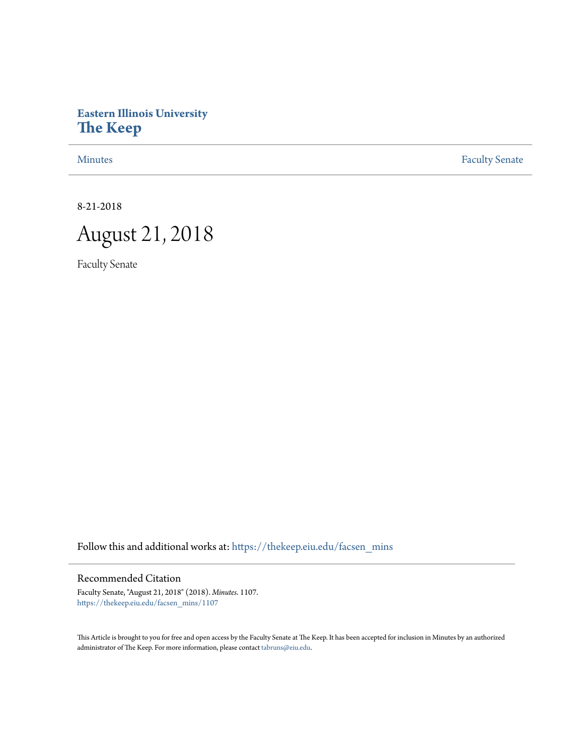## **Eastern Illinois University [The Keep](https://thekeep.eiu.edu?utm_source=thekeep.eiu.edu%2Ffacsen_mins%2F1107&utm_medium=PDF&utm_campaign=PDFCoverPages)**

[Minutes](https://thekeep.eiu.edu/facsen_mins?utm_source=thekeep.eiu.edu%2Ffacsen_mins%2F1107&utm_medium=PDF&utm_campaign=PDFCoverPages) **[Faculty Senate](https://thekeep.eiu.edu/fac_senate?utm_source=thekeep.eiu.edu%2Ffacsen_mins%2F1107&utm_medium=PDF&utm_campaign=PDFCoverPages)** 

8-21-2018



Faculty Senate

Follow this and additional works at: [https://thekeep.eiu.edu/facsen\\_mins](https://thekeep.eiu.edu/facsen_mins?utm_source=thekeep.eiu.edu%2Ffacsen_mins%2F1107&utm_medium=PDF&utm_campaign=PDFCoverPages)

## Recommended Citation

Faculty Senate, "August 21, 2018" (2018). *Minutes*. 1107. [https://thekeep.eiu.edu/facsen\\_mins/1107](https://thekeep.eiu.edu/facsen_mins/1107?utm_source=thekeep.eiu.edu%2Ffacsen_mins%2F1107&utm_medium=PDF&utm_campaign=PDFCoverPages)

This Article is brought to you for free and open access by the Faculty Senate at The Keep. It has been accepted for inclusion in Minutes by an authorized administrator of The Keep. For more information, please contact [tabruns@eiu.edu.](mailto:tabruns@eiu.edu)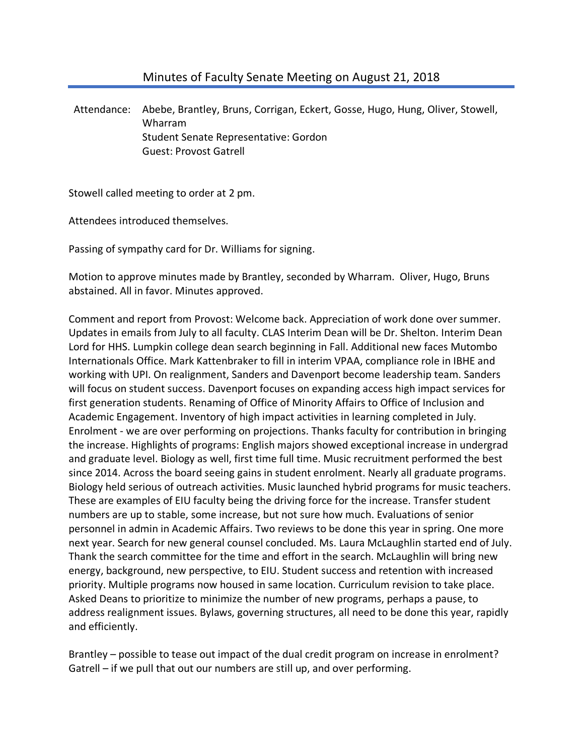## Minutes of Faculty Senate Meeting on August 21, 2018

Attendance: Abebe, Brantley, Bruns, Corrigan, Eckert, Gosse, Hugo, Hung, Oliver, Stowell, Wharram Student Senate Representative: Gordon Guest: Provost Gatrell

Stowell called meeting to order at 2 pm.

Attendees introduced themselves.

Passing of sympathy card for Dr. Williams for signing.

Motion to approve minutes made by Brantley, seconded by Wharram. Oliver, Hugo, Bruns abstained. All in favor. Minutes approved.

Comment and report from Provost: Welcome back. Appreciation of work done over summer. Updates in emails from July to all faculty. CLAS Interim Dean will be Dr. Shelton. Interim Dean Lord for HHS. Lumpkin college dean search beginning in Fall. Additional new faces Mutombo Internationals Office. Mark Kattenbraker to fill in interim VPAA, compliance role in IBHE and working with UPI. On realignment, Sanders and Davenport become leadership team. Sanders will focus on student success. Davenport focuses on expanding access high impact services for first generation students. Renaming of Office of Minority Affairs to Office of Inclusion and Academic Engagement. Inventory of high impact activities in learning completed in July. Enrolment - we are over performing on projections. Thanks faculty for contribution in bringing the increase. Highlights of programs: English majors showed exceptional increase in undergrad and graduate level. Biology as well, first time full time. Music recruitment performed the best since 2014. Across the board seeing gains in student enrolment. Nearly all graduate programs. Biology held serious of outreach activities. Music launched hybrid programs for music teachers. These are examples of EIU faculty being the driving force for the increase. Transfer student numbers are up to stable, some increase, but not sure how much. Evaluations of senior personnel in admin in Academic Affairs. Two reviews to be done this year in spring. One more next year. Search for new general counsel concluded. Ms. Laura McLaughlin started end of July. Thank the search committee for the time and effort in the search. McLaughlin will bring new energy, background, new perspective, to EIU. Student success and retention with increased priority. Multiple programs now housed in same location. Curriculum revision to take place. Asked Deans to prioritize to minimize the number of new programs, perhaps a pause, to address realignment issues. Bylaws, governing structures, all need to be done this year, rapidly and efficiently.

Brantley – possible to tease out impact of the dual credit program on increase in enrolment? Gatrell – if we pull that out our numbers are still up, and over performing.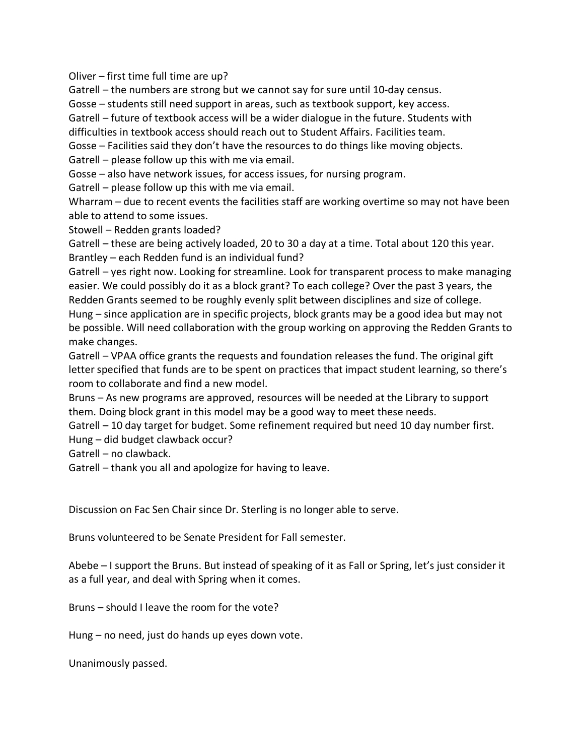Oliver – first time full time are up?

Gatrell – the numbers are strong but we cannot say for sure until 10-day census.

Gosse – students still need support in areas, such as textbook support, key access.

Gatrell – future of textbook access will be a wider dialogue in the future. Students with difficulties in textbook access should reach out to Student Affairs. Facilities team.

Gosse – Facilities said they don't have the resources to do things like moving objects.

Gatrell – please follow up this with me via email.

Gosse – also have network issues, for access issues, for nursing program.

Gatrell – please follow up this with me via email.

Wharram – due to recent events the facilities staff are working overtime so may not have been able to attend to some issues.

Stowell – Redden grants loaded?

Gatrell – these are being actively loaded, 20 to 30 a day at a time. Total about 120 this year. Brantley – each Redden fund is an individual fund?

Gatrell – yes right now. Looking for streamline. Look for transparent process to make managing easier. We could possibly do it as a block grant? To each college? Over the past 3 years, the Redden Grants seemed to be roughly evenly split between disciplines and size of college.

Hung – since application are in specific projects, block grants may be a good idea but may not be possible. Will need collaboration with the group working on approving the Redden Grants to make changes.

Gatrell – VPAA office grants the requests and foundation releases the fund. The original gift letter specified that funds are to be spent on practices that impact student learning, so there's room to collaborate and find a new model.

Bruns – As new programs are approved, resources will be needed at the Library to support them. Doing block grant in this model may be a good way to meet these needs.

Gatrell – 10 day target for budget. Some refinement required but need 10 day number first. Hung – did budget clawback occur?

Gatrell – no clawback.

Gatrell – thank you all and apologize for having to leave.

Discussion on Fac Sen Chair since Dr. Sterling is no longer able to serve.

Bruns volunteered to be Senate President for Fall semester.

Abebe – I support the Bruns. But instead of speaking of it as Fall or Spring, let's just consider it as a full year, and deal with Spring when it comes.

Bruns – should I leave the room for the vote?

Hung – no need, just do hands up eyes down vote.

Unanimously passed.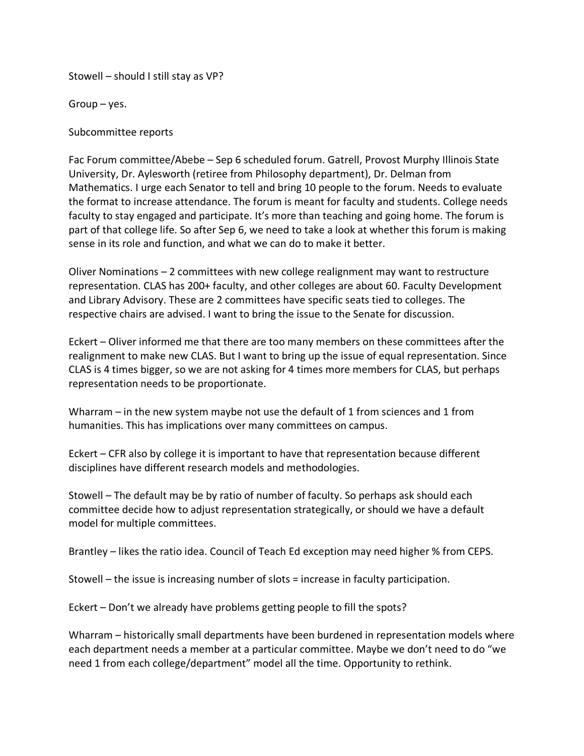Stowell – should I still stay as VP?

Group – yes.

Subcommittee reports

Fac Forum committee/Abebe – Sep 6 scheduled forum. Gatrell, Provost Murphy Illinois State University, Dr. Aylesworth (retiree from Philosophy department), Dr. Delman from Mathematics. I urge each Senator to tell and bring 10 people to the forum. Needs to evaluate the format to increase attendance. The forum is meant for faculty and students. College needs faculty to stay engaged and participate. It's more than teaching and going home. The forum is part of that college life. So after Sep 6, we need to take a look at whether this forum is making sense in its role and function, and what we can do to make it better.

Oliver Nominations – 2 committees with new college realignment may want to restructure representation. CLAS has 200+ faculty, and other colleges are about 60. Faculty Development and Library Advisory. These are 2 committees have specific seats tied to colleges. The respective chairs are advised. I want to bring the issue to the Senate for discussion.

Eckert – Oliver informed me that there are too many members on these committees after the realignment to make new CLAS. But I want to bring up the issue of equal representation. Since CLAS is 4 times bigger, so we are not asking for 4 times more members for CLAS, but perhaps representation needs to be proportionate.

Wharram – in the new system maybe not use the default of 1 from sciences and 1 from humanities. This has implications over many committees on campus.

Eckert – CFR also by college it is important to have that representation because different disciplines have different research models and methodologies.

Stowell – The default may be by ratio of number of faculty. So perhaps ask should each committee decide how to adjust representation strategically, or should we have a default model for multiple committees.

Brantley – likes the ratio idea. Council of Teach Ed exception may need higher % from CEPS.

Stowell – the issue is increasing number of slots = increase in faculty participation.

Eckert – Don't we already have problems getting people to fill the spots?

Wharram – historically small departments have been burdened in representation models where each department needs a member at a particular committee. Maybe we don't need to do "we need 1 from each college/department" model all the time. Opportunity to rethink.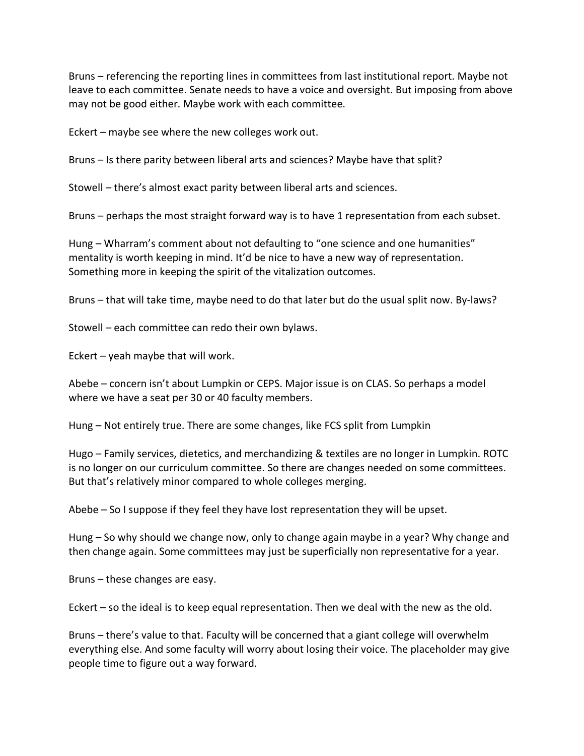Bruns – referencing the reporting lines in committees from last institutional report. Maybe not leave to each committee. Senate needs to have a voice and oversight. But imposing from above may not be good either. Maybe work with each committee.

Eckert – maybe see where the new colleges work out.

Bruns – Is there parity between liberal arts and sciences? Maybe have that split?

Stowell – there's almost exact parity between liberal arts and sciences.

Bruns – perhaps the most straight forward way is to have 1 representation from each subset.

Hung – Wharram's comment about not defaulting to "one science and one humanities" mentality is worth keeping in mind. It'd be nice to have a new way of representation. Something more in keeping the spirit of the vitalization outcomes.

Bruns – that will take time, maybe need to do that later but do the usual split now. By-laws?

Stowell – each committee can redo their own bylaws.

Eckert – yeah maybe that will work.

Abebe – concern isn't about Lumpkin or CEPS. Major issue is on CLAS. So perhaps a model where we have a seat per 30 or 40 faculty members.

Hung – Not entirely true. There are some changes, like FCS split from Lumpkin

Hugo – Family services, dietetics, and merchandizing & textiles are no longer in Lumpkin. ROTC is no longer on our curriculum committee. So there are changes needed on some committees. But that's relatively minor compared to whole colleges merging.

Abebe – So I suppose if they feel they have lost representation they will be upset.

Hung – So why should we change now, only to change again maybe in a year? Why change and then change again. Some committees may just be superficially non representative for a year.

Bruns – these changes are easy.

Eckert – so the ideal is to keep equal representation. Then we deal with the new as the old.

Bruns – there's value to that. Faculty will be concerned that a giant college will overwhelm everything else. And some faculty will worry about losing their voice. The placeholder may give people time to figure out a way forward.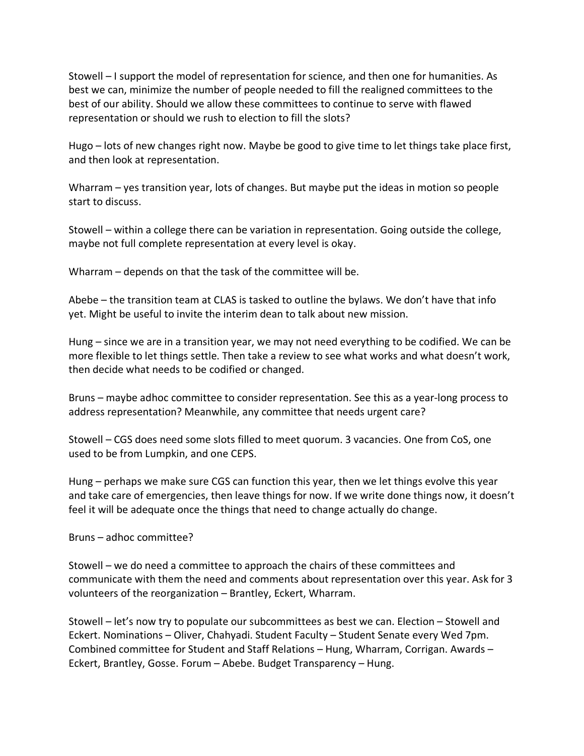Stowell – I support the model of representation for science, and then one for humanities. As best we can, minimize the number of people needed to fill the realigned committees to the best of our ability. Should we allow these committees to continue to serve with flawed representation or should we rush to election to fill the slots?

Hugo – lots of new changes right now. Maybe be good to give time to let things take place first, and then look at representation.

Wharram – yes transition year, lots of changes. But maybe put the ideas in motion so people start to discuss.

Stowell – within a college there can be variation in representation. Going outside the college, maybe not full complete representation at every level is okay.

Wharram – depends on that the task of the committee will be.

Abebe – the transition team at CLAS is tasked to outline the bylaws. We don't have that info yet. Might be useful to invite the interim dean to talk about new mission.

Hung – since we are in a transition year, we may not need everything to be codified. We can be more flexible to let things settle. Then take a review to see what works and what doesn't work, then decide what needs to be codified or changed.

Bruns – maybe adhoc committee to consider representation. See this as a year-long process to address representation? Meanwhile, any committee that needs urgent care?

Stowell – CGS does need some slots filled to meet quorum. 3 vacancies. One from CoS, one used to be from Lumpkin, and one CEPS.

Hung – perhaps we make sure CGS can function this year, then we let things evolve this year and take care of emergencies, then leave things for now. If we write done things now, it doesn't feel it will be adequate once the things that need to change actually do change.

Bruns – adhoc committee?

Stowell – we do need a committee to approach the chairs of these committees and communicate with them the need and comments about representation over this year. Ask for 3 volunteers of the reorganization – Brantley, Eckert, Wharram.

Stowell – let's now try to populate our subcommittees as best we can. Election – Stowell and Eckert. Nominations – Oliver, Chahyadi. Student Faculty – Student Senate every Wed 7pm. Combined committee for Student and Staff Relations – Hung, Wharram, Corrigan. Awards – Eckert, Brantley, Gosse. Forum – Abebe. Budget Transparency – Hung.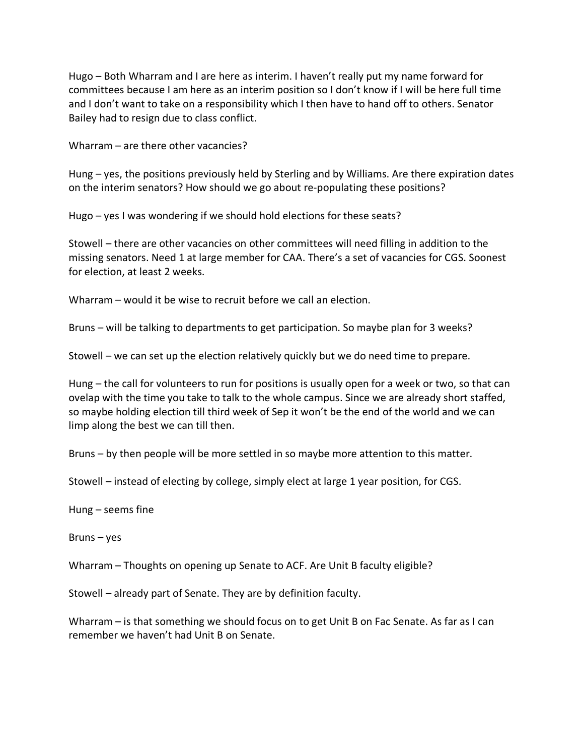Hugo – Both Wharram and I are here as interim. I haven't really put my name forward for committees because I am here as an interim position so I don't know if I will be here full time and I don't want to take on a responsibility which I then have to hand off to others. Senator Bailey had to resign due to class conflict.

Wharram – are there other vacancies?

Hung – yes, the positions previously held by Sterling and by Williams. Are there expiration dates on the interim senators? How should we go about re-populating these positions?

Hugo – yes I was wondering if we should hold elections for these seats?

Stowell – there are other vacancies on other committees will need filling in addition to the missing senators. Need 1 at large member for CAA. There's a set of vacancies for CGS. Soonest for election, at least 2 weeks.

Wharram – would it be wise to recruit before we call an election.

Bruns – will be talking to departments to get participation. So maybe plan for 3 weeks?

Stowell – we can set up the election relatively quickly but we do need time to prepare.

Hung – the call for volunteers to run for positions is usually open for a week or two, so that can ovelap with the time you take to talk to the whole campus. Since we are already short staffed, so maybe holding election till third week of Sep it won't be the end of the world and we can limp along the best we can till then.

Bruns – by then people will be more settled in so maybe more attention to this matter.

Stowell – instead of electing by college, simply elect at large 1 year position, for CGS.

Hung – seems fine

Bruns – yes

Wharram – Thoughts on opening up Senate to ACF. Are Unit B faculty eligible?

Stowell – already part of Senate. They are by definition faculty.

Wharram – is that something we should focus on to get Unit B on Fac Senate. As far as I can remember we haven't had Unit B on Senate.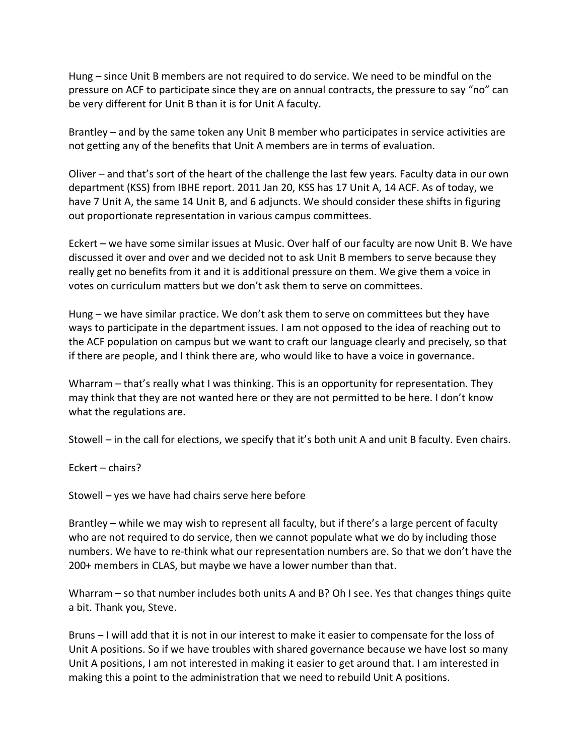Hung – since Unit B members are not required to do service. We need to be mindful on the pressure on ACF to participate since they are on annual contracts, the pressure to say "no" can be very different for Unit B than it is for Unit A faculty.

Brantley – and by the same token any Unit B member who participates in service activities are not getting any of the benefits that Unit A members are in terms of evaluation.

Oliver – and that's sort of the heart of the challenge the last few years. Faculty data in our own department (KSS) from IBHE report. 2011 Jan 20, KSS has 17 Unit A, 14 ACF. As of today, we have 7 Unit A, the same 14 Unit B, and 6 adjuncts. We should consider these shifts in figuring out proportionate representation in various campus committees.

Eckert – we have some similar issues at Music. Over half of our faculty are now Unit B. We have discussed it over and over and we decided not to ask Unit B members to serve because they really get no benefits from it and it is additional pressure on them. We give them a voice in votes on curriculum matters but we don't ask them to serve on committees.

Hung – we have similar practice. We don't ask them to serve on committees but they have ways to participate in the department issues. I am not opposed to the idea of reaching out to the ACF population on campus but we want to craft our language clearly and precisely, so that if there are people, and I think there are, who would like to have a voice in governance.

Wharram – that's really what I was thinking. This is an opportunity for representation. They may think that they are not wanted here or they are not permitted to be here. I don't know what the regulations are.

Stowell – in the call for elections, we specify that it's both unit A and unit B faculty. Even chairs.

Eckert – chairs?

Stowell – yes we have had chairs serve here before

Brantley – while we may wish to represent all faculty, but if there's a large percent of faculty who are not required to do service, then we cannot populate what we do by including those numbers. We have to re-think what our representation numbers are. So that we don't have the 200+ members in CLAS, but maybe we have a lower number than that.

Wharram – so that number includes both units A and B? Oh I see. Yes that changes things quite a bit. Thank you, Steve.

Bruns – I will add that it is not in our interest to make it easier to compensate for the loss of Unit A positions. So if we have troubles with shared governance because we have lost so many Unit A positions, I am not interested in making it easier to get around that. I am interested in making this a point to the administration that we need to rebuild Unit A positions.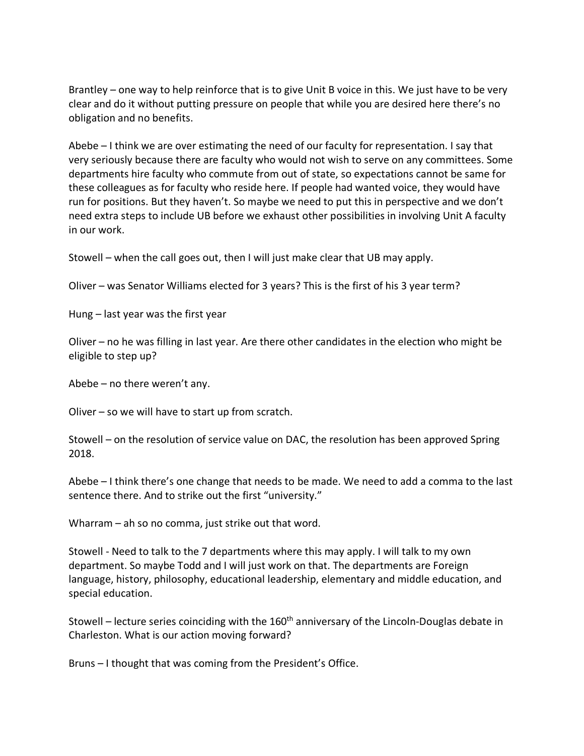Brantley – one way to help reinforce that is to give Unit B voice in this. We just have to be very clear and do it without putting pressure on people that while you are desired here there's no obligation and no benefits.

Abebe – I think we are over estimating the need of our faculty for representation. I say that very seriously because there are faculty who would not wish to serve on any committees. Some departments hire faculty who commute from out of state, so expectations cannot be same for these colleagues as for faculty who reside here. If people had wanted voice, they would have run for positions. But they haven't. So maybe we need to put this in perspective and we don't need extra steps to include UB before we exhaust other possibilities in involving Unit A faculty in our work.

Stowell – when the call goes out, then I will just make clear that UB may apply.

Oliver – was Senator Williams elected for 3 years? This is the first of his 3 year term?

Hung – last year was the first year

Oliver – no he was filling in last year. Are there other candidates in the election who might be eligible to step up?

Abebe – no there weren't any.

Oliver – so we will have to start up from scratch.

Stowell – on the resolution of service value on DAC, the resolution has been approved Spring 2018.

Abebe – I think there's one change that needs to be made. We need to add a comma to the last sentence there. And to strike out the first "university."

Wharram – ah so no comma, just strike out that word.

Stowell - Need to talk to the 7 departments where this may apply. I will talk to my own department. So maybe Todd and I will just work on that. The departments are Foreign language, history, philosophy, educational leadership, elementary and middle education, and special education.

Stowell – lecture series coinciding with the  $160<sup>th</sup>$  anniversary of the Lincoln-Douglas debate in Charleston. What is our action moving forward?

Bruns – I thought that was coming from the President's Office.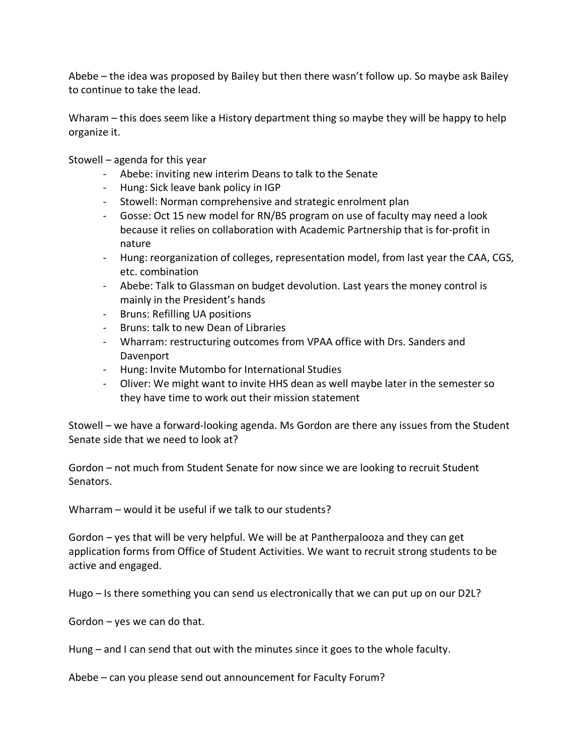Abebe – the idea was proposed by Bailey but then there wasn't follow up. So maybe ask Bailey to continue to take the lead.

Wharam – this does seem like a History department thing so maybe they will be happy to help organize it.

Stowell – agenda for this year

- Abebe: inviting new interim Deans to talk to the Senate
- Hung: Sick leave bank policy in IGP
- Stowell: Norman comprehensive and strategic enrolment plan
- Gosse: Oct 15 new model for RN/BS program on use of faculty may need a look because it relies on collaboration with Academic Partnership that is for-profit in nature
- Hung: reorganization of colleges, representation model, from last year the CAA, CGS, etc. combination
- Abebe: Talk to Glassman on budget devolution. Last years the money control is mainly in the President's hands
- Bruns: Refilling UA positions
- Bruns: talk to new Dean of Libraries
- Wharram: restructuring outcomes from VPAA office with Drs. Sanders and Davenport
- Hung: Invite Mutombo for International Studies
- Oliver: We might want to invite HHS dean as well maybe later in the semester so they have time to work out their mission statement

Stowell – we have a forward-looking agenda. Ms Gordon are there any issues from the Student Senate side that we need to look at?

Gordon – not much from Student Senate for now since we are looking to recruit Student Senators.

Wharram – would it be useful if we talk to our students?

Gordon – yes that will be very helpful. We will be at Pantherpalooza and they can get application forms from Office of Student Activities. We want to recruit strong students to be active and engaged.

Hugo – Is there something you can send us electronically that we can put up on our D2L?

Gordon – yes we can do that.

Hung – and I can send that out with the minutes since it goes to the whole faculty.

Abebe – can you please send out announcement for Faculty Forum?